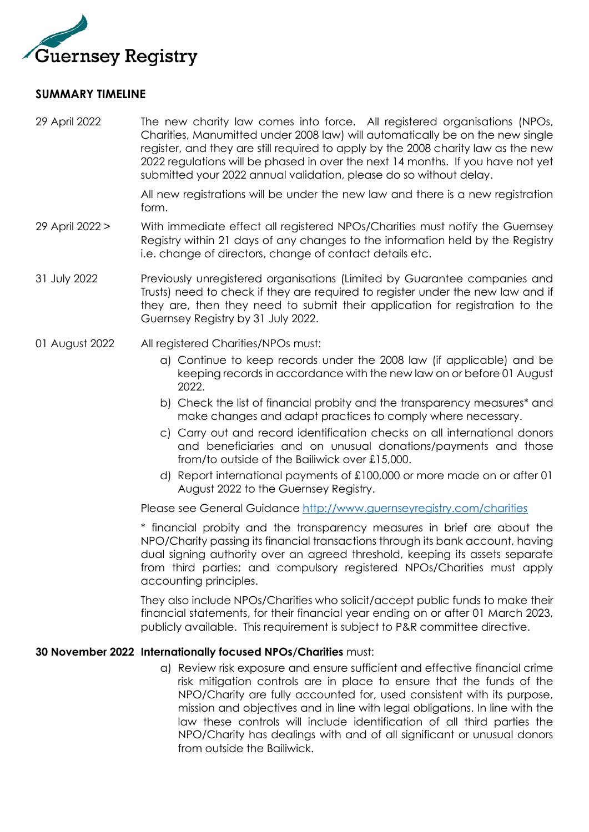

## **SUMMARY TIMELINE**

29 April 2022 The new charity law comes into force. All registered organisations (NPOs, Charities, Manumitted under 2008 law) will automatically be on the new single register, and they are still required to apply by the 2008 charity law as the new 2022 regulations will be phased in over the next 14 months. If you have not yet submitted your 2022 annual validation, please do so without delay.

> All new registrations will be under the new law and there is a new registration form.

- 29 April 2022 > With immediate effect all registered NPOs/Charities must notify the Guernsey Registry within 21 days of any changes to the information held by the Registry i.e. change of directors, change of contact details etc.
- 31 July 2022 Previously unregistered organisations (Limited by Guarantee companies and Trusts) need to check if they are required to register under the new law and if they are, then they need to submit their application for registration to the Guernsey Registry by 31 July 2022.
- 01 August 2022 All registered Charities/NPOs must:
	- a) Continue to keep records under the 2008 law (if applicable) and be keeping records in accordance with the new law on or before 01 August 2022.
	- b) Check the list of financial probity and the transparency measures\* and make changes and adapt practices to comply where necessary.
	- c) Carry out and record identification checks on all international donors and beneficiaries and on unusual donations/payments and those from/to outside of the Bailiwick over £15,000.
	- d) Report international payments of £100,000 or more made on or after 01 August 2022 to the Guernsey Registry.

Please see General Guidance<http://www.guernseyregistry.com/charities>

\* financial probity and the transparency measures in brief are about the NPO/Charity passing its financial transactions through its bank account, having dual signing authority over an agreed threshold, keeping its assets separate from third parties; and compulsory registered NPOs/Charities must apply accounting principles.

They also include NPOs/Charities who solicit/accept public funds to make their financial statements, for their financial year ending on or after 01 March 2023, publicly available. This requirement is subject to P&R committee directive.

## **30 November 2022 Internationally focused NPOs/Charities** must:

a) Review risk exposure and ensure sufficient and effective financial crime risk mitigation controls are in place to ensure that the funds of the NPO/Charity are fully accounted for, used consistent with its purpose, mission and objectives and in line with legal obligations. In line with the law these controls will include identification of all third parties the NPO/Charity has dealings with and of all significant or unusual donors from outside the Bailiwick.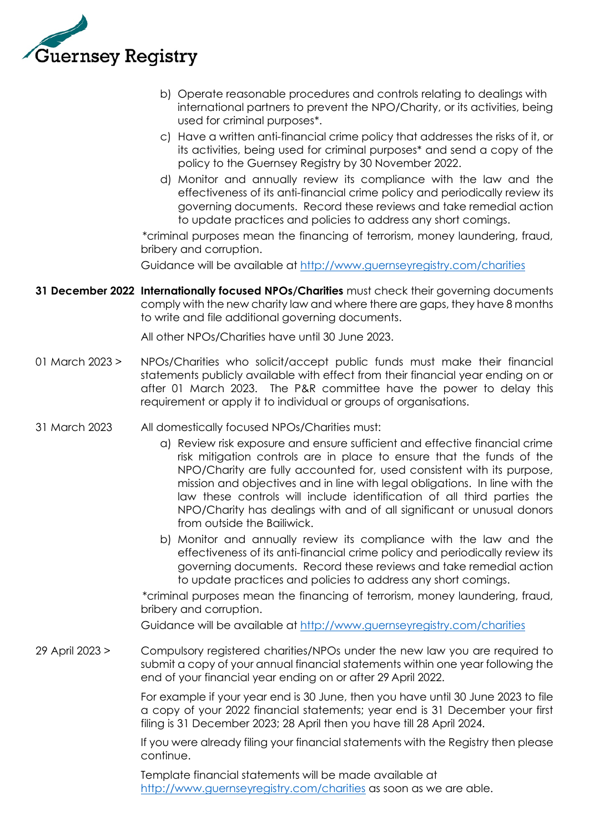

- b) Operate reasonable procedures and controls relating to dealings with international partners to prevent the NPO/Charity, or its activities, being used for criminal purposes\*.
- c) Have a written anti-financial crime policy that addresses the risks of it, or its activities, being used for criminal purposes\* and send a copy of the policy to the Guernsey Registry by 30 November 2022.
- d) Monitor and annually review its compliance with the law and the effectiveness of its anti-financial crime policy and periodically review its governing documents. Record these reviews and take remedial action to update practices and policies to address any short comings.

\*criminal purposes mean the financing of terrorism, money laundering, fraud, bribery and corruption.

Guidance will be available at<http://www.guernseyregistry.com/charities>

**31 December 2022 Internationally focused NPOs/Charities** must check their governing documents comply with the new charity law and where there are gaps, they have 8 months to write and file additional governing documents.

All other NPOs/Charities have until 30 June 2023.

- 01 March 2023 > NPOs/Charities who solicit/accept public funds must make their financial statements publicly available with effect from their financial year ending on or after 01 March 2023. The P&R committee have the power to delay this requirement or apply it to individual or groups of organisations.
- 31 March 2023 All domestically focused NPOs/Charities must:
	- a) Review risk exposure and ensure sufficient and effective financial crime risk mitigation controls are in place to ensure that the funds of the NPO/Charity are fully accounted for, used consistent with its purpose, mission and objectives and in line with legal obligations. In line with the law these controls will include identification of all third parties the NPO/Charity has dealings with and of all significant or unusual donors from outside the Bailiwick.
	- b) Monitor and annually review its compliance with the law and the effectiveness of its anti-financial crime policy and periodically review its governing documents. Record these reviews and take remedial action to update practices and policies to address any short comings.

\*criminal purposes mean the financing of terrorism, money laundering, fraud, bribery and corruption.

Guidance will be available at<http://www.guernseyregistry.com/charities>

29 April 2023 > Compulsory registered charities/NPOs under the new law you are required to submit a copy of your annual financial statements within one year following the end of your financial year ending on or after 29 April 2022.

> For example if your year end is 30 June, then you have until 30 June 2023 to file a copy of your 2022 financial statements; year end is 31 December your first filing is 31 December 2023; 28 April then you have till 28 April 2024.

> If you were already filing your financial statements with the Registry then please continue.

Template financial statements will be made available at <http://www.guernseyregistry.com/charities> as soon as we are able.